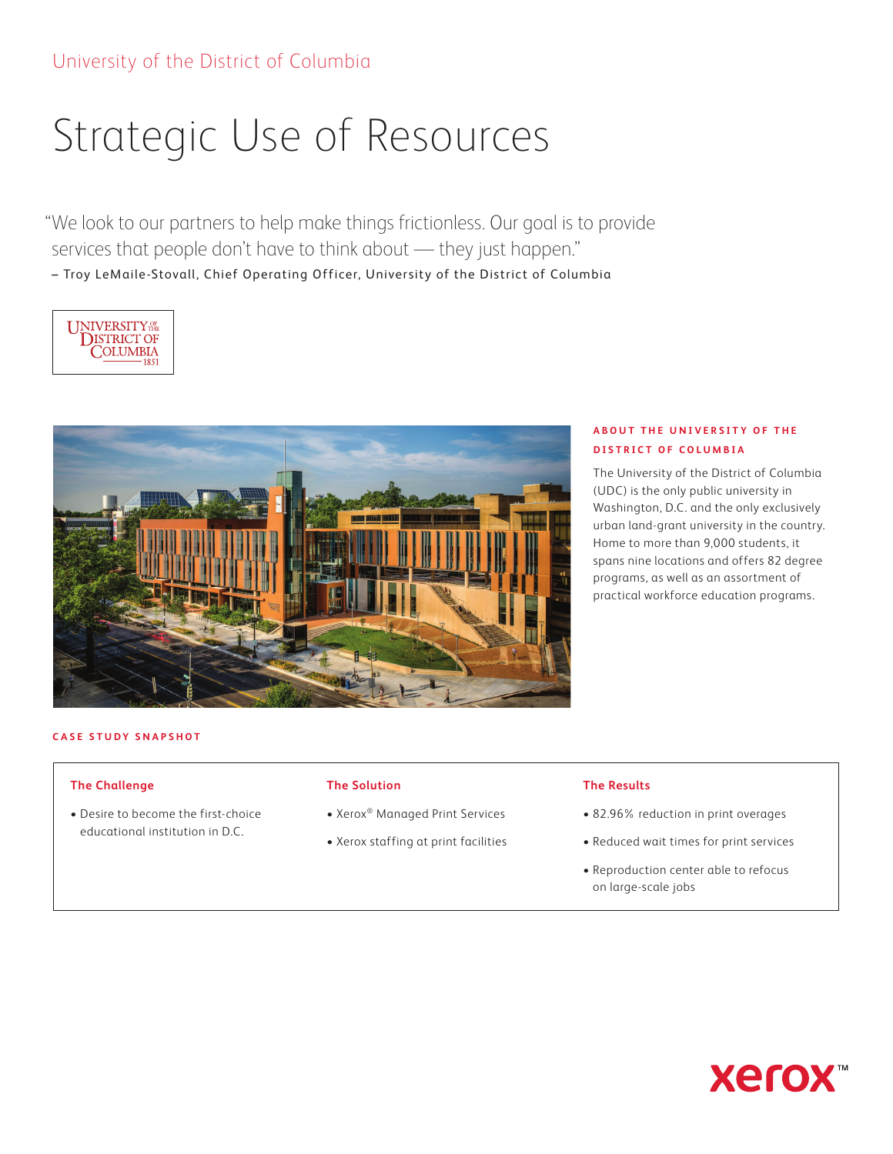# Strategic Use of Resources

"We look to our partners to help make things frictionless. Our goal is to provide services that people don't have to think about — they just happen." – Troy LeMaile-Stovall, Chief Operating Officer, University of the District of Columbia





## **ABOUT THE UNIVERSITY OF THE DISTRICT OF COLUMBIA**

The University of the District of Columbia (UDC) is the only public university in Washington, D.C. and the only exclusively urban land-grant university in the country. Home to more than 9,000 students, it spans nine locations and offers 82 degree programs, as well as an assortment of practical workforce education programs.

#### **CASE STUDY SNAPSHOT**

#### **The Challenge**

• Desire to become the first-choice educational institution in D.C.

#### **The Solution**

- Xerox® Managed Print Services
- Xerox staffing at print facilities

#### **The Results**

- 82.96% reduction in print overages
- Reduced wait times for print services
- Reproduction center able to refocus on large-scale jobs